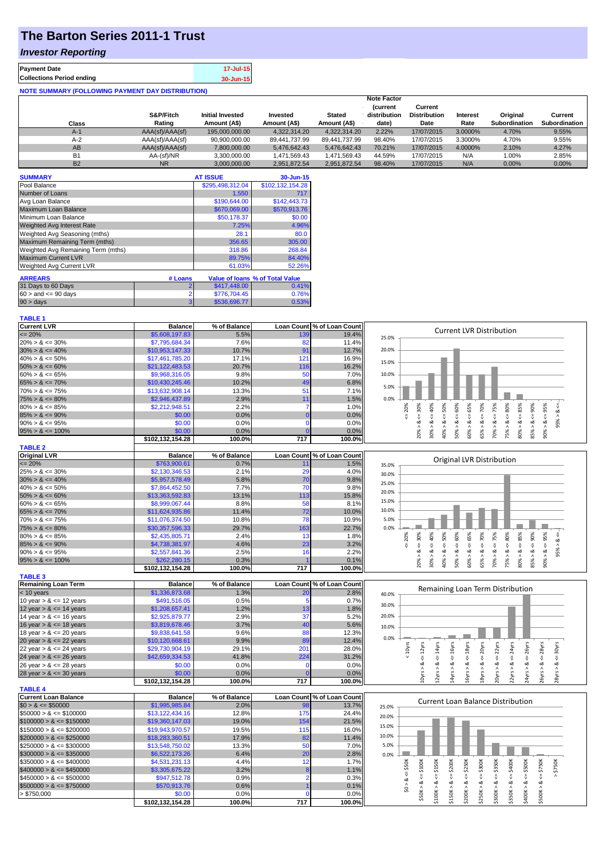## **The Barton Series 2011-1 Trust**

### *Investor Reporting*

| <b>Payment Date</b>              | 17-Jul-15 |
|----------------------------------|-----------|
| <b>Collections Period ending</b> | 30-Jun-15 |
|                                  |           |

| <b>NOTE SUMMARY (FOLLOWING PAYMENT DAY DISTRIBUTION)</b> |                 |                         |               |               |                                |                                |          |                      |                      |
|----------------------------------------------------------|-----------------|-------------------------|---------------|---------------|--------------------------------|--------------------------------|----------|----------------------|----------------------|
|                                                          |                 |                         |               |               | <b>Note Factor</b>             |                                |          |                      |                      |
|                                                          | S&P/Fitch       | <b>Initial Invested</b> | Invested      | <b>Stated</b> | <b>Current</b><br>distribution | Current<br><b>Distribution</b> | Interest | Original             | Current              |
| Class                                                    | Rating          | Amount (A\$)            | Amount (A\$)  | Amount (A\$)  | date)                          | Date                           | Rate     | <b>Subordination</b> | <b>Subordination</b> |
| $A-1$                                                    | AAA(sf)/AAA(sf) | 195,000,000,00          | 4.322.314.20  | 4.322.314.20  | 2.22%                          | 17/07/2015                     | 3.0000%  | 4.70%                | 9.55%                |
| $A-2$                                                    | AAA(sf)/AAA(sf) | 90,900,000.00           | 89.441.737.99 | 89.441.737.99 | 98.40%                         | 17/07/2015                     | 3.3000%  | 4.70%                | 9.55%                |
| AB                                                       | AAA(sf)/AAA(sf) | 7.800.000.00            | 5.476.642.43  | 5.476.642.43  | 70.21%                         | 17/07/2015                     | 4.0000%  | 2.10%                | 4.27%                |
| <b>B1</b>                                                | AA-(sf)/NR      | 3.300.000.00            | 1.471.569.43  | 1.471.569.43  | 44.59%                         | 17/07/2015                     | N/A      | 1.00%                | 2.85%                |
| <b>B2</b>                                                | <b>NR</b>       | 3.000.000.00            | 2.951.872.54  | 2.951.872.54  | 98.40%                         | 17/07/2015                     | N/A      | 0.00%                | $0.00\%$             |

| <b>SUMMARY</b>                     |                | <b>AT ISSUE</b>  | 30-Jun-15                       |
|------------------------------------|----------------|------------------|---------------------------------|
| Pool Balance                       |                | \$295,498,312.04 | \$102,132,154.28                |
| Number of Loans                    |                | 1.550            | 717                             |
| Avg Loan Balance                   |                | \$190,644.00     | \$142,443.73                    |
| Maximum Loan Balance               |                | \$670,069.00     | \$570,913.76                    |
| Minimum Loan Balance               |                | \$50,178.37      | \$0.00                          |
| Weighted Avg Interest Rate         |                | 7.25%            | 4.96%                           |
| Weighted Avg Seasoning (mths)      |                | 28.1             | 80.0                            |
| Maximum Remaining Term (mths)      |                | 356.65           | 305.00                          |
| Weighted Avg Remaining Term (mths) |                | 318.86           | 268.84                          |
| <b>Maximum Current LVR</b>         |                | 89.75%           | 84.40%                          |
| Weighted Avg Current LVR           |                | 61.03%           | 52.26%                          |
| <b>ARREARS</b>                     | # Loans        |                  | Value of Ioans % of Total Value |
| 31 Days to 60 Days                 | $\overline{2}$ | \$417,448.00     | 0.41%                           |
| $60 >$ and $\leq 90$ days          | $\overline{2}$ | \$776,704.45     | 0.76%                           |
| 90 > days                          | 3              | \$536,696.77     | 0.53%                           |

# **TABLE 1**

| <b>Current LVR</b>          | <b>Balance</b>   | % of Balance |                | Loan Count % of Loan Count |       | <b>Current LVR Distribution</b>                                                                                                                                                                                                                                                      |
|-----------------------------|------------------|--------------|----------------|----------------------------|-------|--------------------------------------------------------------------------------------------------------------------------------------------------------------------------------------------------------------------------------------------------------------------------------------|
| $\leq$ 20%                  | \$5,608,197.83   | 5.5%         | 139            | 19.4%                      | 25.0% |                                                                                                                                                                                                                                                                                      |
| $20\% > 8 \le 30\%$         | \$7,795,684.34   | 7.6%         | 82             | 11.4%                      |       |                                                                                                                                                                                                                                                                                      |
| $30\% > 8 \le 40\%$         | \$10,953,147.33  | 10.7%        | 91             | 12.7%                      | 20.0% |                                                                                                                                                                                                                                                                                      |
| $40\% > 8 \le 50\%$         | \$17,461,785.20  | 17.1%        | 121            | 16.9%                      |       |                                                                                                                                                                                                                                                                                      |
| $50\% > 8 \le 60\%$         | \$21,122,483.53  | 20.7%        | 116            | 16.2%                      | 15.0% |                                                                                                                                                                                                                                                                                      |
| $60\% > 8 \le 65\%$         | \$9,968,316.05   | 9.8%         | 50             | 7.0%                       | 10.0% |                                                                                                                                                                                                                                                                                      |
| $65\% > 8 \le 70\%$         | \$10,430,245.46  | 10.2%        | 49             | 6.8%                       |       |                                                                                                                                                                                                                                                                                      |
| $70\% > 8 \le 75\%$         | \$13,632,908.14  | 13.3%        | 51             | 7.1%                       | 5.0%  |                                                                                                                                                                                                                                                                                      |
| $75\% > 8 \le 80\%$         | \$2,946,437.89   | 2.9%         | 11             | 1.5%                       | 0.0%  |                                                                                                                                                                                                                                                                                      |
| $80\% > 8 \le 85\%$         | \$2,212,948.51   | 2.2%         | $\overline{7}$ | 1.0%                       |       |                                                                                                                                                                                                                                                                                      |
|                             |                  | 0.0%         |                |                            |       | $\leq 70\%$<br>$\leq 85\%$<br>20%<br>40%<br>$\leq 50\%$<br>65%<br>$\leq 80\%$<br>95%                                                                                                                                                                                                 |
| $85\% > 8 \le 90\%$         | \$0.00           |              | $\Omega$       | 0.0%                       |       | $<=30\%$<br>95% > 8.<br>₹<br>જ                                                                                                                                                                                                                                                       |
| $90\% > 8 \le 95\%$         | \$0.00           | 0.0%         | $\Omega$       | 0.0%                       |       | $\frac{8}{1}$<br>$\frac{8}{1}$                                                                                                                                                                                                                                                       |
| $95\% > 8 \le 100\%$        | \$0.00           | 0.0%         |                | 0.0%                       |       | $50\% > 8 <= 60\%$<br>$70\% > 8 <= 75\%$<br>$85% > 8 <= 90%$<br>$- > 8 < 0.06$<br>65% > 8.<br>75% > 8.<br>80% > 8.<br>20% ><br>40% ><br>30%<br>60%                                                                                                                                   |
|                             | \$102,132,154.28 | 100.0%       | 717            | 100.0%                     |       |                                                                                                                                                                                                                                                                                      |
| <b>TABLE 2</b>              |                  |              |                |                            |       |                                                                                                                                                                                                                                                                                      |
| <b>Original LVR</b>         | <b>Balance</b>   | % of Balance |                | Loan Count % of Loan Count |       | Original LVR Distribution                                                                                                                                                                                                                                                            |
| $= 20%$                     | \$763,900.61     | 0.7%         | 11             | 1.5%                       | 35.0% |                                                                                                                                                                                                                                                                                      |
| $25\% > 8 \le 30\%$         | \$2,130,346.53   | 2.1%         | 29             | 4.0%                       | 30.0% |                                                                                                                                                                                                                                                                                      |
| $30\% > 8 \le 40\%$         | \$5,957,578.49   | 5.8%         | 70             | 9.8%                       |       |                                                                                                                                                                                                                                                                                      |
| $40\% > 8 \le 50\%$         | \$7,864,452.50   | 7.7%         | 70             | 9.8%                       | 25.0% |                                                                                                                                                                                                                                                                                      |
| $50\% > 8 \le 60\%$         | \$13,363,592.83  | 13.1%        | 113            | 15.8%                      | 20.0% |                                                                                                                                                                                                                                                                                      |
| $60\% > 8 \le 65\%$         | \$8,999,067.44   | 8.8%         | 58             | 8.1%                       | 15.0% |                                                                                                                                                                                                                                                                                      |
| $65\% > 8 \le 70\%$         | \$11,624,935.86  | 11.4%        | 72             | 10.0%                      | 10.0% |                                                                                                                                                                                                                                                                                      |
| $70\% > 8 \le 75\%$         | \$11,076,374.50  | 10.8%        | 78             | 10.9%                      | 5.0%  |                                                                                                                                                                                                                                                                                      |
| $75\% > 8 \le 80\%$         |                  | 29.7%        | 163            | 22.7%                      | 0.0%  |                                                                                                                                                                                                                                                                                      |
|                             | \$30,357,596.33  |              | 13             |                            |       |                                                                                                                                                                                                                                                                                      |
| $80\% > 8 \le 85\%$         | \$2,435,805.71   | 2.4%         |                | 1.8%                       |       | $> 8c = 30%$<br>$<=50\%$<br>20%<br>40%<br>$\le 65\%$<br>$95\% > 8$ <=                                                                                                                                                                                                                |
| $85\% > 8 \le 90\%$         | \$4,738,381.97   | 4.6%         | 23             | 3.2%                       |       | 쁬                                                                                                                                                                                                                                                                                    |
| $90\% > 8 \le 95\%$         | \$2,557,841.36   | 2.5%         | 16             | 2.2%                       |       | ∝<br>∝                                                                                                                                                                                                                                                                               |
| $95\% > 8 \le 100\%$        | \$262,280.15     | 0.3%         |                | 0.1%                       |       | $50\% > 8 <= 60\%$<br>$70\% > 8 <= 75\%$<br>$80\% > 8 <= 85\%$<br>$85% > 8 <= 90%$<br>$65\% > 8 <= 70\%$<br>$75\% > 8 <= 80\%$<br>$-90\% > 8 < = 95\%$<br>30% ><br>$40\%$ $>$<br>60% ><br>20%                                                                                        |
|                             | \$102,132,154.28 | 100.0%       | 717            | 100.0%                     |       |                                                                                                                                                                                                                                                                                      |
| <b>TABLE 3</b>              |                  |              |                |                            |       |                                                                                                                                                                                                                                                                                      |
| <b>Remaining Loan Term</b>  | <b>Balance</b>   | % of Balance |                | Loan Count % of Loan Count |       | Remaining Loan Term Distribution                                                                                                                                                                                                                                                     |
| < 10 years                  | \$1,336,873.68   | 1.3%         | 20             | 2.8%                       | 40.0% |                                                                                                                                                                                                                                                                                      |
| 10 year $> 8 \le 12$ years  | \$491,516.05     | 0.5%         | -5             | 0.7%                       |       |                                                                                                                                                                                                                                                                                      |
| 12 year $> 8 \le 14$ years  | \$1,208,657.41   | 1.2%         | 13             | 1.8%                       | 30.0% |                                                                                                                                                                                                                                                                                      |
| 14 year $> 8 \le 16$ years  | \$2,925,879.77   | 2.9%         | 37             | 5.2%                       | 20.0% |                                                                                                                                                                                                                                                                                      |
| 16 year $> 8 \le 18$ years  | \$3,819,678.46   | 3.7%         | 40             | 5.6%                       | 10.0% |                                                                                                                                                                                                                                                                                      |
| 18 year $> 8 \le 20$ years  | \$9,838,641.58   | 9.6%         | 88             | 12.3%                      |       |                                                                                                                                                                                                                                                                                      |
| 20 year $> 8 \le 22$ years  | \$10,120,668.61  | 9.9%         | 89             | 12.4%                      | 0.0%  |                                                                                                                                                                                                                                                                                      |
| 22 year $> 8 \le 24$ years  | \$29,730,904.19  | 29.1%        | 201            | 28.0%                      |       |                                                                                                                                                                                                                                                                                      |
| 24 year $> 8 \le 26$ years  | \$42,659,334.53  | 41.8%        | 224            | 31.2%                      |       | < 10yrs<br>$\epsilon$ = 24 $\gamma$ rs<br>$\le$ = 16 $yrs$<br>$\epsilon$ = 20 $\gamma$ rs<br>$\epsilon$ = 22 $\gamma$ rs<br>$\leq$ = 26 $\gamma$ rs<br>$\le$ = 18 $yrs$<br>$\epsilon$ = 28 $yrs$<br>$\epsilon$ = 12 $\gamma$ rs<br>$\le$ = 14 $\gamma$ rs<br>$\leq$ = 30 $\gamma$ rs |
| 26 year $> 8 \le 28$ years  | \$0.00           | 0.0%         | $\Omega$       | 0.0%                       |       | ಹ                                                                                                                                                                                                                                                                                    |
| 28 year $> 8 \le 30$ years  | \$0.00           | 0.0%         |                | 0.0%                       |       | 10yrs > 8<br>12yrs > 8<br>14yrs > 8<br>16yrs > 8<br>18yrs > 8<br>20yrs > 8<br>22yrs > 8<br>26yrs > 8<br>28yrs > 8<br>24yrs >                                                                                                                                                         |
|                             | \$102,132,154.28 | 100.0%       | 717            | 100.0%                     |       |                                                                                                                                                                                                                                                                                      |
| <b>TABLE 4</b>              |                  |              |                |                            |       |                                                                                                                                                                                                                                                                                      |
|                             |                  |              |                |                            |       |                                                                                                                                                                                                                                                                                      |
| <b>Current Loan Balance</b> | <b>Balance</b>   | % of Balance |                | Loan Count % of Loan Count |       | <b>Current Loan Balance Distribution</b>                                                                                                                                                                                                                                             |
| $$0 > 8 \le $50000$         | \$1,995,985.84   | 2.0%         | 98             | 13.7%                      | 25.0% |                                                                                                                                                                                                                                                                                      |
| $$50000 > 8 \leq $100000$   | \$13,122,434.16  | 12.8%        | 175            | 24.4%                      | 20.0% |                                                                                                                                                                                                                                                                                      |
| $$100000 > 8 \leq $150000$  | \$19,360,147.03  | 19.0%        | 154            | 21.5%                      | 15.0% |                                                                                                                                                                                                                                                                                      |
| $$150000 > 8 \leq $200000$  | \$19,943,970.57  | 19.5%        | 115            | 16.0%                      |       |                                                                                                                                                                                                                                                                                      |
| $$200000 > 8 \leq $250000$  | \$18,283,360.51  | 17.9%        | 82             | 11.4%                      | 10.0% |                                                                                                                                                                                                                                                                                      |
| $$250000 > 8 \leq $300000$  | \$13,548,750.02  | 13.3%        | 50             | 7.0%                       | 5.0%  |                                                                                                                                                                                                                                                                                      |
| $$300000 > 8 \leq $350000$  | \$6,522,173.26   | 6.4%         | 20             | 2.8%                       | 0.0%  |                                                                                                                                                                                                                                                                                      |
| $$350000 > 8 \leq $400000$  | \$4,531,231.13   | 4.4%         | 12             | 1.7%                       |       |                                                                                                                                                                                                                                                                                      |
| $$400000 > 8 \leq $450000$  | \$3,305,675.22   | 3.2%         |                | 1.1%                       |       | $=$ \$200K<br>\$250K<br>\$300K<br>\$400K<br>$-5500K$<br>: \$750K<br>\$350K<br>\$750K<br>$4 = $50K$                                                                                                                                                                                   |
| $$450000 > 8 \leq $500000$  | \$947,512.78     | 0.9%         | 2              | 0.3%                       |       | $4 = $100K$<br>$4 = $150K$<br>v<br>$\sqrt{2}$                                                                                                                                                                                                                                        |
| $$500000 > 8 \leq $750000$  | \$570,913.76     | 0.6%         |                | 0.1%                       |       | \$0 > 8<br>∞<br>ವ<br>ಷ                                                                                                                                                                                                                                                               |
| > \$750,000                 | \$0.00           | 0.0%         |                | 0.0%                       |       | \$50K > 8<br>\$100K > 8<br>\$150K > 8<br>\$200K > 8<br>\$250K > 8<br>\$500K > 8<br>\$300K ><br>\$350K><br>\$400K >                                                                                                                                                                   |
|                             | \$102,132,154.28 | 100.0%       | 717            | 100.0%                     |       |                                                                                                                                                                                                                                                                                      |
|                             |                  |              |                |                            |       |                                                                                                                                                                                                                                                                                      |